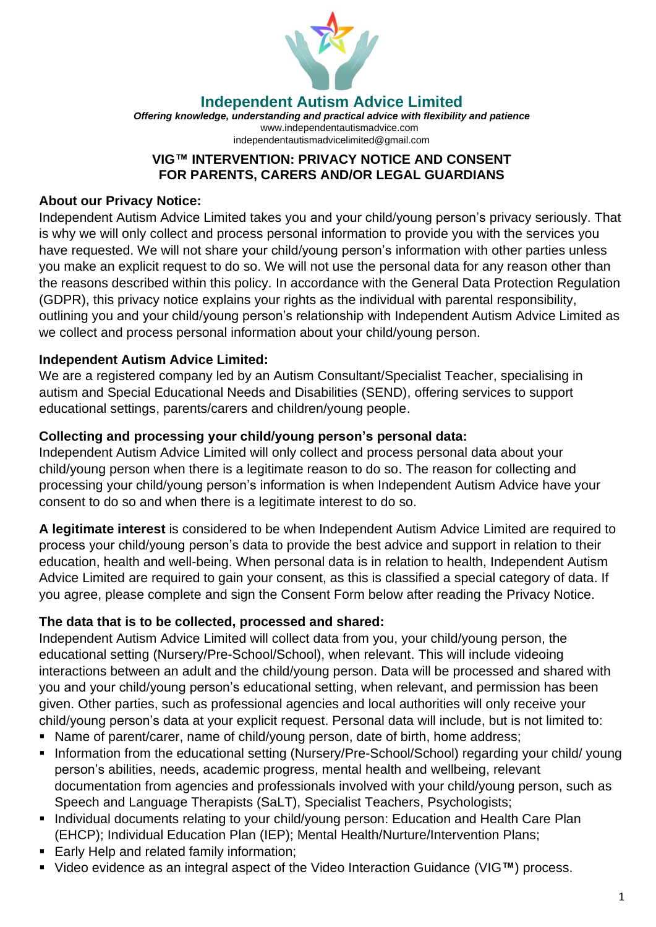

**Independent Autism Advice Limited**

*Offering knowledge, understanding and practical advice with flexibility and patience* [www.independentautismadvice.com](http://www.independentautismadvice.com/) [independentautismadvicelimited@gmail.com](mailto:independentautismadvicelimited@gmail.com) 

### **VIG™ INTERVENTION: PRIVACY NOTICE AND CONSENT FOR PARENTS, CARERS AND/OR LEGAL GUARDIANS**

### **About our Privacy Notice:**

Independent Autism Advice Limited takes you and your child/young person's privacy seriously. That is why we will only collect and process personal information to provide you with the services you have requested. We will not share your child/young person's information with other parties unless you make an explicit request to do so. We will not use the personal data for any reason other than the reasons described within this policy. In accordance with the General Data Protection Regulation (GDPR), this privacy notice explains your rights as the individual with parental responsibility, outlining you and your child/young person's relationship with Independent Autism Advice Limited as we collect and process personal information about your child/young person.

## **Independent Autism Advice Limited:**

We are a registered company led by an Autism Consultant/Specialist Teacher, specialising in autism and Special Educational Needs and Disabilities (SEND), offering services to support educational settings, parents/carers and children/young people.

#### **Collecting and processing your child/young person's personal data:**

Independent Autism Advice Limited will only collect and process personal data about your child/young person when there is a legitimate reason to do so. The reason for collecting and processing your child/young person's information is when Independent Autism Advice have your consent to do so and when there is a legitimate interest to do so.

**A legitimate interest** is considered to be when Independent Autism Advice Limited are required to process your child/young person's data to provide the best advice and support in relation to their education, health and well-being. When personal data is in relation to health, Independent Autism Advice Limited are required to gain your consent, as this is classified a special category of data. If you agree, please complete and sign the Consent Form below after reading the Privacy Notice.

## **The data that is to be collected, processed and shared:**

Independent Autism Advice Limited will collect data from you, your child/young person, the educational setting (Nursery/Pre-School/School), when relevant. This will include videoing interactions between an adult and the child/young person. Data will be processed and shared with you and your child/young person's educational setting, when relevant, and permission has been given. Other parties, such as professional agencies and local authorities will only receive your child/young person's data at your explicit request. Personal data will include, but is not limited to:

- Name of parent/carer, name of child/young person, date of birth, home address;
- Information from the educational setting (Nursery/Pre-School/School) regarding your child/ young person's abilities, needs, academic progress, mental health and wellbeing, relevant documentation from agencies and professionals involved with your child/young person, such as Speech and Language Therapists (SaLT), Specialist Teachers, Psychologists;
- Individual documents relating to your child/young person: Education and Health Care Plan (EHCP); Individual Education Plan (IEP); Mental Health/Nurture/Intervention Plans;
- **Early Help and related family information;**
- Video evidence as an integral aspect of the Video Interaction Guidance (VIG**™**) process.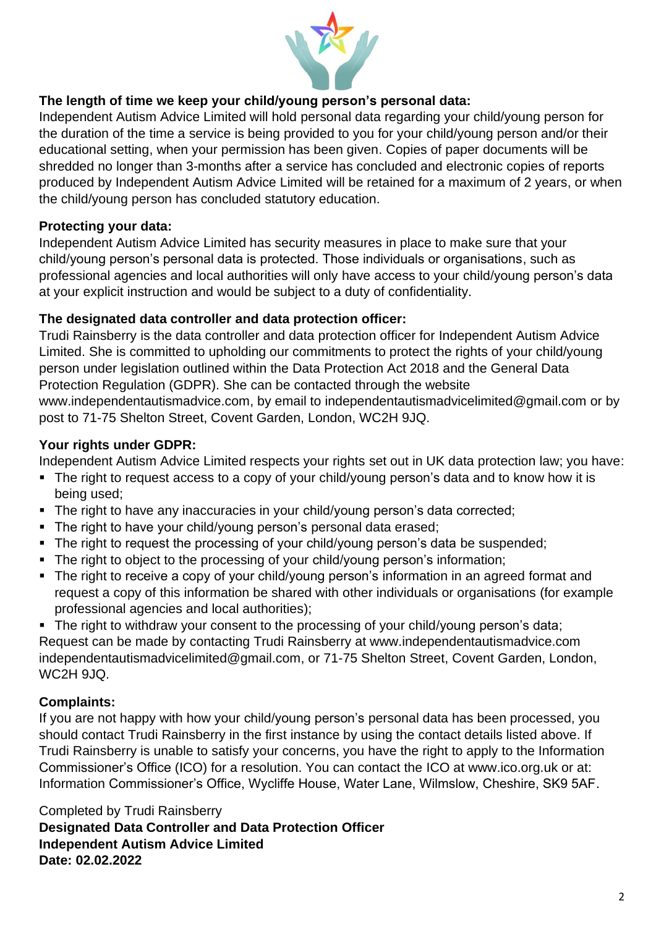

# **The length of time we keep your child/young person's personal data:**

Independent Autism Advice Limited will hold personal data regarding your child/young person for the duration of the time a service is being provided to you for your child/young person and/or their educational setting, when your permission has been given. Copies of paper documents will be shredded no longer than 3-months after a service has concluded and electronic copies of reports produced by Independent Autism Advice Limited will be retained for a maximum of 2 years, or when the child/young person has concluded statutory education.

## **Protecting your data:**

Independent Autism Advice Limited has security measures in place to make sure that your child/young person's personal data is protected. Those individuals or organisations, such as professional agencies and local authorities will only have access to your child/young person's data at your explicit instruction and would be subject to a duty of confidentiality.

#### **The designated data controller and data protection officer:**

Trudi Rainsberry is the data controller and data protection officer for Independent Autism Advice Limited. She is committed to upholding our commitments to protect the rights of your child/young person under legislation outlined within the Data Protection Act 2018 and the General Data Protection Regulation (GDPR). She can be contacted through the website [www.independentautismadvice.com,](http://www.independentautismadvice.com/) by email to [independentautismadvicelimited@gmail.com](mailto:independentautismadvicelimited@gmail.com) or by post to 71-75 Shelton Street, Covent Garden, London, WC2H 9JQ.

#### **Your rights under GDPR:**

Independent Autism Advice Limited respects your rights set out in UK data protection law; you have:

- The right to request access to a copy of your child/young person's data and to know how it is being used;
- The right to have any inaccuracies in your child/young person's data corrected;
- The right to have your child/young person's personal data erased;
- The right to request the processing of your child/young person's data be suspended;
- The right to object to the processing of your child/young person's information;
- The right to receive a copy of your child/young person's information in an agreed format and request a copy of this information be shared with other individuals or organisations (for example professional agencies and local authorities);
- The right to withdraw your consent to the processing of your child/young person's data; Request can be made by contacting Trudi Rainsberry at [www.independentautismadvice.com](http://www.independentautismadvice.com/) [independentautismadvicelimited@gmail.com,](mailto:independentautismadvicelimited@gmail.com) or 71-75 Shelton Street, Covent Garden, London, WC2H 9JQ.

## **Complaints:**

If you are not happy with how your child/young person's personal data has been processed, you should contact Trudi Rainsberry in the first instance by using the contact details listed above. If Trudi Rainsberry is unable to satisfy your concerns, you have the right to apply to the Information Commissioner's Office (ICO) for a resolution. You can contact the ICO at [www.ico.org.uk](http://www.ico.org.uk/) or at: Information Commissioner's Office, Wycliffe House, Water Lane, Wilmslow, Cheshire, SK9 5AF.

Completed by Trudi Rainsberry

**Designated Data Controller and Data Protection Officer Independent Autism Advice Limited Date: 02.02.2022**